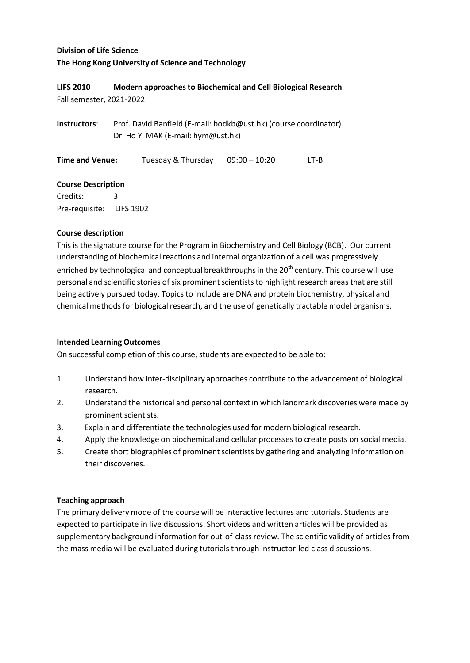# **Division of Life Science The Hong Kong University of Science and Technology**

## **LIFS 2010 Modern approachesto Biochemical and Cell Biological Research** Fall semester, 2021‐2022

**Instructors**: Prof. David Banfield (E‐mail: bodkb@ust.hk) (course coordinator) Dr. Ho Yi MAK (E‐mail: hym@ust.hk)

**Time and Venue:** Tuesday & Thursday 09:00 – 10:20 LT-B

## **Course Description**

Credits: 3 Pre‐requisite: LIFS 1902

## **Course description**

This is the signature course for the Program in Biochemistry and Cell Biology (BCB). Our current understanding of biochemical reactions and internal organization of a cell was progressively enriched by technological and conceptual breakthroughs in the 20<sup>th</sup> century. This course will use personal and scientific stories of six prominent scientists to highlight research areas that are still being actively pursued today. Topics to include are DNA and protein biochemistry, physical and chemical methods for biological research, and the use of genetically tractable model organisms.

## **Intended Learning Outcomes**

On successful completion of this course, students are expected to be able to:

- 1. Understand how inter-disciplinary approaches contribute to the advancement of biological research.
- 2. Understand the historical and personal context in which landmark discoveries were made by prominent scientists.
- 3. Explain and differentiate the technologies used for modern biological research.
- 4. Apply the knowledge on biochemical and cellular processesto create posts on social media.
- 5. Create short biographies of prominent scientists by gathering and analyzing information on their discoveries.

## **Teaching approach**

The primary delivery mode of the course will be interactive lectures and tutorials. Students are expected to participate in live discussions. Short videos and written articles will be provided as supplementary background information for out-of-class review. The scientific validity of articles from the mass media will be evaluated during tutorials through instructor‐led class discussions.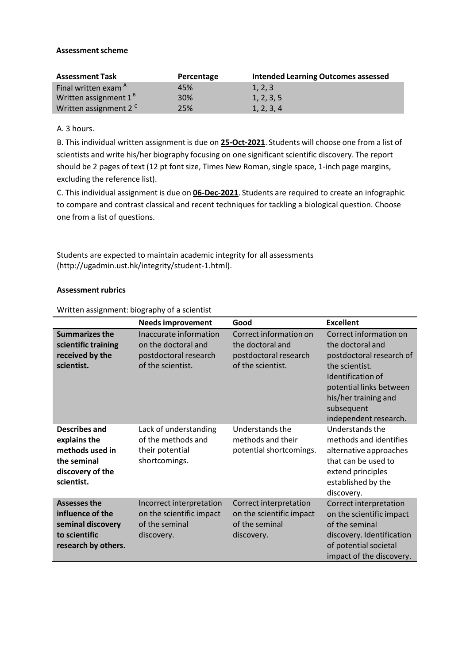#### **Assessment scheme**

| <b>Assessment Task</b>            | Percentage | <b>Intended Learning Outcomes assessed</b> |
|-----------------------------------|------------|--------------------------------------------|
| Final written exam <sup>A</sup>   | 45%        | 1, 2, 3                                    |
| Written assignment 1 <sup>B</sup> | 30%        | 1, 2, 3, 5                                 |
| Written assignment 2 <sup>c</sup> | 25%        | 1, 2, 3, 4                                 |

A. 3 hours.

B. This individual written assignment is due on **25‐Oct‐2021**. Students will choose one from a list of scientists and write his/her biography focusing on one significant scientific discovery. The report should be 2 pages of text (12 pt font size, Times New Roman, single space, 1‐inch page margins, excluding the reference list).

C. This individual assignment is due on **06‐Dec‐2021**. Students are required to create an infographic to compare and contrast classical and recent techniques for tackling a biological question. Choose one from a list of questions.

Students are expected to maintain academic integrity for all assessments (http://ugadmin.ust.hk/integrity/student-1.html).

#### **Assessment rubrics**

Written assignment: biography of a scientist

|                                                                                                      | <b>Needs improvement</b>                                                                    | Good                                                                                     | <b>Excellent</b>                                                                                                                                                                                        |
|------------------------------------------------------------------------------------------------------|---------------------------------------------------------------------------------------------|------------------------------------------------------------------------------------------|---------------------------------------------------------------------------------------------------------------------------------------------------------------------------------------------------------|
| <b>Summarizes the</b><br>scientific training<br>received by the<br>scientist.                        | Inaccurate information<br>on the doctoral and<br>postdoctoral research<br>of the scientist. | Correct information on<br>the doctoral and<br>postdoctoral research<br>of the scientist. | Correct information on<br>the doctoral and<br>postdoctoral research of<br>the scientist.<br>Identification of<br>potential links between<br>his/her training and<br>subsequent<br>independent research. |
| Describes and<br>explains the<br>methods used in<br>the seminal<br>discovery of the<br>scientist.    | Lack of understanding<br>of the methods and<br>their potential<br>shortcomings.             | Understands the<br>methods and their<br>potential shortcomings.                          | Understands the<br>methods and identifies<br>alternative approaches<br>that can be used to<br>extend principles<br>established by the<br>discovery.                                                     |
| <b>Assesses the</b><br>influence of the<br>seminal discovery<br>to scientific<br>research by others. | Incorrect interpretation<br>on the scientific impact<br>of the seminal<br>discovery.        | Correct interpretation<br>on the scientific impact<br>of the seminal<br>discovery.       | Correct interpretation<br>on the scientific impact<br>of the seminal<br>discovery. Identification<br>of potential societal<br>impact of the discovery.                                                  |